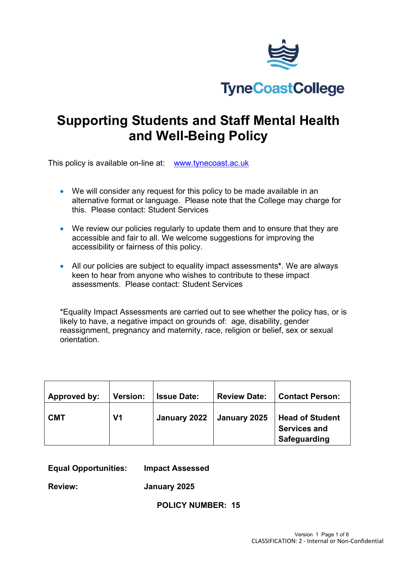

# **Supporting Students and Staff Mental Health and Well-Being Policy**

This policy is available on-line at: [www.tynecoast.ac.uk](http://www.tynecoast.ac.uk/)

- We will consider any request for this policy to be made available in an alternative format or language. Please note that the College may charge for this. Please contact: Student Services
- We review our policies regularly to update them and to ensure that they are accessible and fair to all. We welcome suggestions for improving the accessibility or fairness of this policy.
- All our policies are subject to equality impact assessments**\***. We are always keen to hear from anyone who wishes to contribute to these impact assessments. Please contact: Student Services

\*Equality Impact Assessments are carried out to see whether the policy has, or is likely to have, a negative impact on grounds of: age, disability, gender reassignment, pregnancy and maternity, race, religion or belief, sex or sexual orientation.

| Approved by: | <b>Version:</b> | <b>Issue Date:</b> | <b>Review Date:</b> | <b>Contact Person:</b>                                        |
|--------------|-----------------|--------------------|---------------------|---------------------------------------------------------------|
| <b>CMT</b>   | V <sub>1</sub>  | January 2022       | January 2025        | <b>Head of Student</b><br><b>Services and</b><br>Safeguarding |

#### **Equal Opportunities: Impact Assessed**

**Review: January 2025**

**POLICY NUMBER: 15**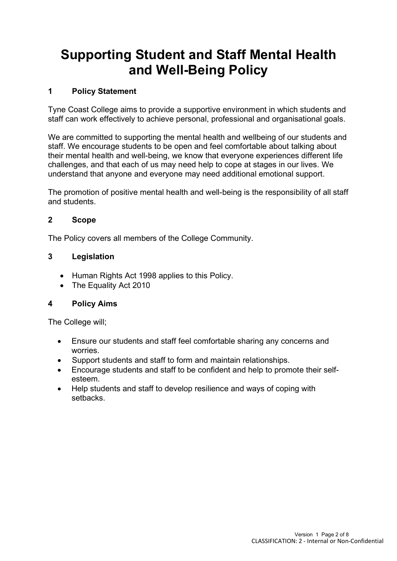# **Supporting Student and Staff Mental Health and Well-Being Policy**

## **1 Policy Statement**

Tyne Coast College aims to provide a supportive environment in which students and staff can work effectively to achieve personal, professional and organisational goals.

We are committed to supporting the mental health and wellbeing of our students and staff. We encourage students to be open and feel comfortable about talking about their mental health and well-being, we know that everyone experiences different life challenges, and that each of us may need help to cope at stages in our lives. We understand that anyone and everyone may need additional emotional support.

The promotion of positive mental health and well-being is the responsibility of all staff and students.

#### **2 Scope**

The Policy covers all members of the College Community.

## **3 Legislation**

- Human Rights Act 1998 applies to this Policy.
- The Equality Act 2010

#### **4 Policy Aims**

The College will;

- Ensure our students and staff feel comfortable sharing any concerns and worries.
- Support students and staff to form and maintain relationships.
- Encourage students and staff to be confident and help to promote their selfesteem.
- Help students and staff to develop resilience and ways of coping with setbacks.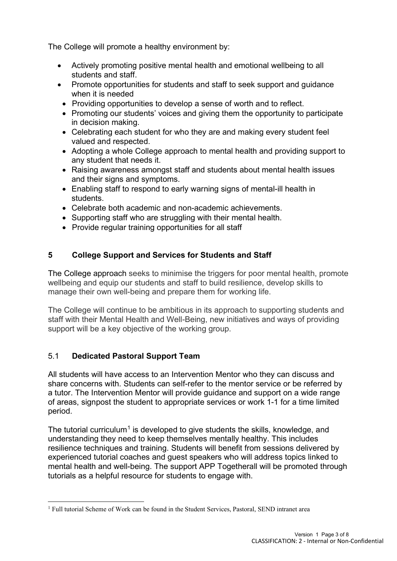The College will promote a healthy environment by:

- Actively promoting positive mental health and emotional wellbeing to all students and staff.
- Promote opportunities for students and staff to seek support and guidance when it is needed
	- Providing opportunities to develop a sense of worth and to reflect.
	- Promoting our students' voices and giving them the opportunity to participate in decision making.
	- Celebrating each student for who they are and making every student feel valued and respected.
	- Adopting a whole College approach to mental health and providing support to any student that needs it.
	- Raising awareness amongst staff and students about mental health issues and their signs and symptoms.
	- Enabling staff to respond to early warning signs of mental-ill health in students.
	- Celebrate both academic and non-academic achievements.
	- Supporting staff who are struggling with their mental health.
	- Provide regular training opportunities for all staff

# **5 College Support and Services for Students and Staff**

The College approach seeks to minimise the triggers for poor mental health, promote wellbeing and equip our students and staff to build resilience, develop skills to manage their own well-being and prepare them for working life.

The College will continue to be ambitious in its approach to supporting students and staff with their Mental Health and Well-Being, new initiatives and ways of providing support will be a key objective of the working group.

# 5.1 **Dedicated Pastoral Support Team**

All students will have access to an Intervention Mentor who they can discuss and share concerns with. Students can self-refer to the mentor service or be referred by a tutor. The Intervention Mentor will provide guidance and support on a wide range of areas, signpost the student to appropriate services or work 1-1 for a time limited period.

The tutorial curriculum<sup>[1](#page-2-0)</sup> is developed to give students the skills, knowledge, and understanding they need to keep themselves mentally healthy. This includes resilience techniques and training. Students will benefit from sessions delivered by experienced tutorial coaches and guest speakers who will address topics linked to mental health and well-being. The support APP Togetherall will be promoted through tutorials as a helpful resource for students to engage with.

<span id="page-2-0"></span><sup>1</sup> Full tutorial Scheme of Work can be found in the Student Services, Pastoral, SEND intranet area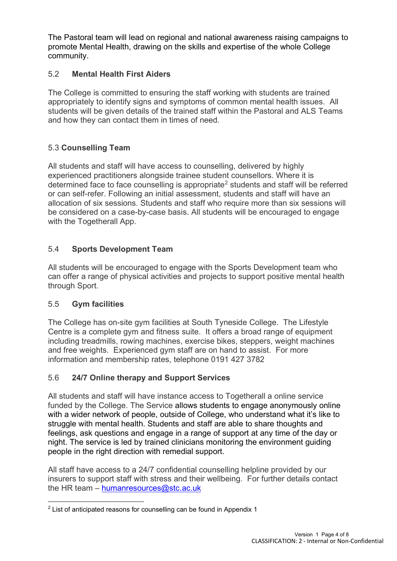The Pastoral team will lead on regional and national awareness raising campaigns to promote Mental Health, drawing on the skills and expertise of the whole College community.

## 5.2 **Mental Health First Aiders**

The College is committed to ensuring the staff working with students are trained appropriately to identify signs and symptoms of common mental health issues. All students will be given details of the trained staff within the Pastoral and ALS Teams and how they can contact them in times of need.

# 5.3 **Counselling Team**

All students and staff will have access to counselling, delivered by highly experienced practitioners alongside trainee student counsellors. Where it is determined face to face counselling is appropriate<sup>[2](#page-3-0)</sup> students and staff will be referred or can self-refer. Following an initial assessment, students and staff will have an allocation of six sessions. Students and staff who require more than six sessions will be considered on a case-by-case basis. All students will be encouraged to engage with the Togetherall App.

# 5.4 **Sports Development Team**

All students will be encouraged to engage with the Sports Development team who can offer a range of physical activities and projects to support positive mental health through Sport.

# 5.5 **Gym facilities**

The College has on-site gym facilities at South Tyneside College. The Lifestyle Centre is a complete gym and fitness suite. It offers a broad range of equipment including treadmills, rowing machines, exercise bikes, steppers, weight machines and free weights. Experienced gym staff are on hand to assist. For more information and membership rates, telephone 0191 427 3782

# 5.6 **24/7 Online therapy and Support Services**

All students and staff will have instance access to Togetherall a online service funded by the College. The Service allows students to engage anonymously online with a wider network of people, outside of College, who understand what it's like to struggle with mental health. Students and staff are able to share thoughts and feelings, ask questions and engage in a range of support at any time of the day or night. The service is led by trained clinicians monitoring the environment guiding people in the right direction with remedial support.

All staff have access to a 24/7 confidential counselling helpline provided by our insurers to support staff with stress and their wellbeing. For further details contact the HR team – [humanresources@stc.ac.uk](mailto:humanresources@stc.ac.uk)

<span id="page-3-0"></span> $2$  List of anticipated reasons for counselling can be found in Appendix 1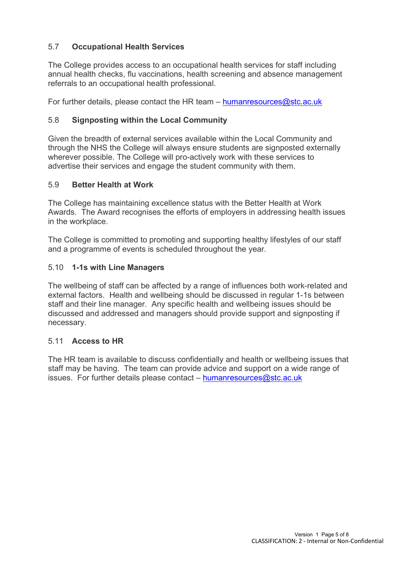## 5.7 **Occupational Health Services**

The College provides access to an occupational health services for staff including annual health checks, flu vaccinations, health screening and absence management referrals to an occupational health professional.

For further details, please contact the HR team – [humanresources@stc.ac.uk](mailto:humanresources@stc.ac.uk)

#### 5.8 **Signposting within the Local Community**

Given the breadth of external services available within the Local Community and through the NHS the College will always ensure students are signposted externally wherever possible. The College will pro-actively work with these services to advertise their services and engage the student community with them.

#### 5.9 **Better Health at Work**

The College has maintaining excellence status with the Better Health at Work Awards. The Award recognises the efforts of employers in addressing health issues in the workplace.

The College is committed to promoting and supporting healthy lifestyles of our staff and a programme of events is scheduled throughout the year.

#### 5.10 **1-1s with Line Managers**

The wellbeing of staff can be affected by a range of influences both work-related and external factors. Health and wellbeing should be discussed in regular 1-1s between staff and their line manager. Any specific health and wellbeing issues should be discussed and addressed and managers should provide support and signposting if necessary.

#### 5.11 **Access to HR**

The HR team is available to discuss confidentially and health or wellbeing issues that staff may be having. The team can provide advice and support on a wide range of issues. For further details please contact – [humanresources@stc.ac.uk](mailto:humanresources@stc.ac.uk)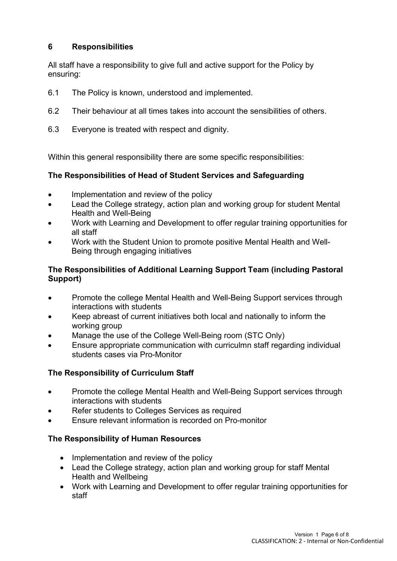## **6 Responsibilities**

All staff have a responsibility to give full and active support for the Policy by ensuring:

- 6.1 The Policy is known, understood and implemented.
- 6.2 Their behaviour at all times takes into account the sensibilities of others.
- 6.3 Everyone is treated with respect and dignity.

Within this general responsibility there are some specific responsibilities:

#### **The Responsibilities of Head of Student Services and Safeguarding**

- Implementation and review of the policy
- Lead the College strategy, action plan and working group for student Mental Health and Well-Being
- Work with Learning and Development to offer regular training opportunities for all staff
- Work with the Student Union to promote positive Mental Health and Well-Being through engaging initiatives

## **The Responsibilities of Additional Learning Support Team (including Pastoral Support)**

- Promote the college Mental Health and Well-Being Support services through interactions with students
- Keep abreast of current initiatives both local and nationally to inform the working group
- Manage the use of the College Well-Being room (STC Only)
- Ensure appropriate communication with curriculmn staff regarding individual students cases via Pro-Monitor

## **The Responsibility of Curriculum Staff**

- Promote the college Mental Health and Well-Being Support services through interactions with students
- Refer students to Colleges Services as required
- Ensure relevant information is recorded on Pro-monitor

## **The Responsibility of Human Resources**

- Implementation and review of the policy
- Lead the College strategy, action plan and working group for staff Mental Health and Wellbeing
- Work with Learning and Development to offer regular training opportunities for staff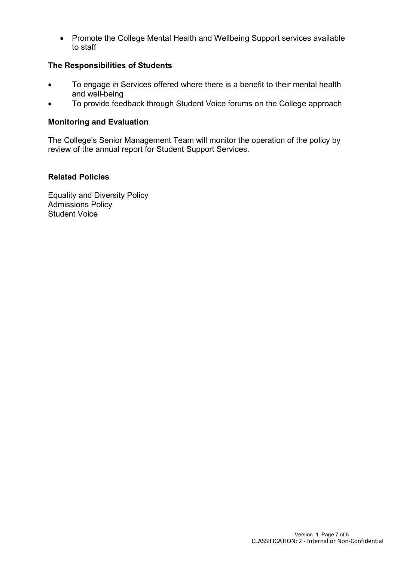• Promote the College Mental Health and Wellbeing Support services available to staff

### **The Responsibilities of Students**

- To engage in Services offered where there is a benefit to their mental health and well-being
- To provide feedback through Student Voice forums on the College approach

#### **Monitoring and Evaluation**

The College's Senior Management Team will monitor the operation of the policy by review of the annual report for Student Support Services.

#### **Related Policies**

Equality and Diversity Policy Admissions Policy Student Voice